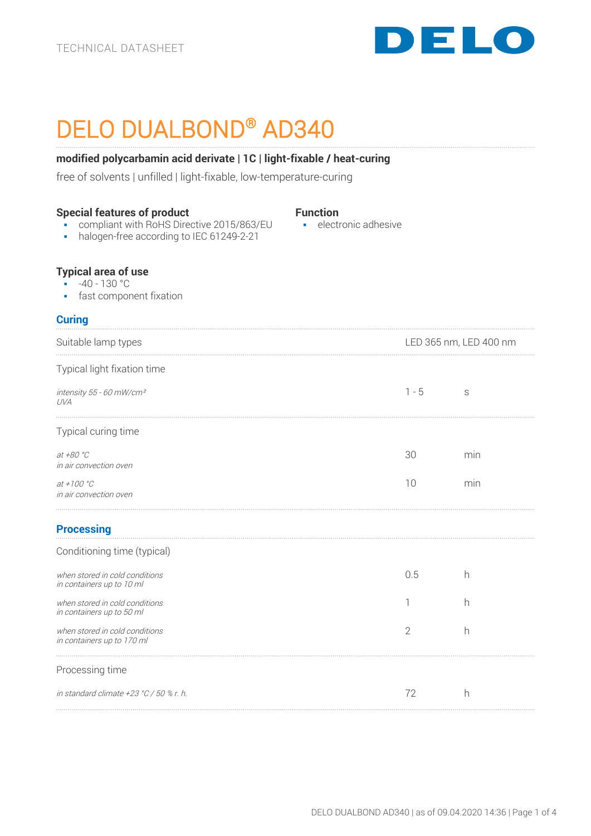

# DELO DUALBOND® AD340

# **modified polycarbamin acid derivate | 1C | light-fixable / heat-curing**

free of solvents | unfilled | light-fixable, low-temperature-curing

| <b>Special features of product</b><br>compliant with RoHS Directive 2015/863/EU<br>halogen-free according to IEC 61249-2-21<br>$\blacksquare$ | <b>Function</b><br>· electronic adhesive |                |                        |  |
|-----------------------------------------------------------------------------------------------------------------------------------------------|------------------------------------------|----------------|------------------------|--|
| <b>Typical area of use</b><br>$-40 - 130 °C$<br>• fast component fixation                                                                     |                                          |                |                        |  |
| <b>Curing</b>                                                                                                                                 |                                          |                |                        |  |
| Suitable lamp types                                                                                                                           |                                          |                | LED 365 nm, LED 400 nm |  |
| Typical light fixation time                                                                                                                   |                                          |                |                        |  |
| intensity 55 - 60 mW/cm <sup>2</sup><br>UVA                                                                                                   |                                          | $1 - 5$        | S                      |  |
| Typical curing time                                                                                                                           |                                          |                |                        |  |
| at +80 °C<br>in air convection oven                                                                                                           |                                          | 30             | min                    |  |
| at +100 $^{\circ}$ C<br>in air convection oven                                                                                                |                                          | 10             | min                    |  |
| <b>Processing</b>                                                                                                                             |                                          |                |                        |  |
| Conditioning time (typical)                                                                                                                   |                                          |                |                        |  |
| when stored in cold conditions<br>in containers up to 10 ml                                                                                   |                                          | 0.5            | h                      |  |
| when stored in cold conditions<br>in containers up to 50 ml                                                                                   |                                          | 1              | h                      |  |
| when stored in cold conditions<br>in containers up to 170 ml                                                                                  |                                          | $\overline{2}$ | h                      |  |
| Processing time                                                                                                                               |                                          |                |                        |  |
| in standard climate +23 °C / 50 % r. h.                                                                                                       |                                          | 72             | h                      |  |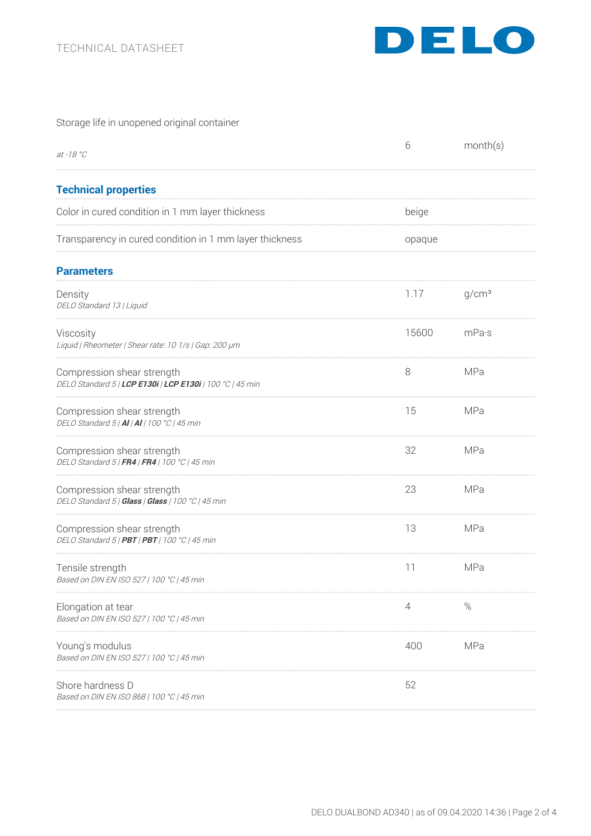

# Storage life in unopened original container

| at -18 $^{\circ}C$                                                                      | 6      | month(s)          |
|-----------------------------------------------------------------------------------------|--------|-------------------|
| <b>Technical properties</b>                                                             |        |                   |
| Color in cured condition in 1 mm layer thickness                                        | beige  |                   |
| Transparency in cured condition in 1 mm layer thickness                                 | opaque |                   |
| <b>Parameters</b>                                                                       |        |                   |
| Density<br>DELO Standard 13   Liquid                                                    | 1.17   | g/cm <sup>3</sup> |
| Viscosity<br>Liquid   Rheometer   Shear rate: 10 1/s   Gap: 200 µm                      | 15600  | mPa·s             |
| Compression shear strength<br>DELO Standard 5   LCP E130i   LCP E130i   100 °C   45 min | 8      | MPa               |
| Compression shear strength<br>DELO Standard 5   AI   AI   100 °C   45 min               | 15     | MPa               |
| Compression shear strength<br>DELO Standard 5   FR4   FR4   100 °C   45 min             | 32     | MPa               |
| Compression shear strength<br>DELO Standard 5   Glass   Glass   100 °C   45 min         | 23     | MPa               |
| Compression shear strength<br>DELO Standard 5   PBT   PBT   100 °C   45 min             | 13     | MPa               |
| Tensile strength<br>Based on DIN EN ISO 527   100 °C   45 min                           | 11     | MPa               |
| Elongation at tear<br>Based on DIN EN ISO 527   100 °C   45 min                         | 4      | $\%$              |
| Young's modulus<br>Based on DIN EN ISO 527   100 °C   45 min                            | 400    | MPa               |
| Shore hardness D<br>Based on DIN EN ISO 868   100 °C   45 min                           | 52     |                   |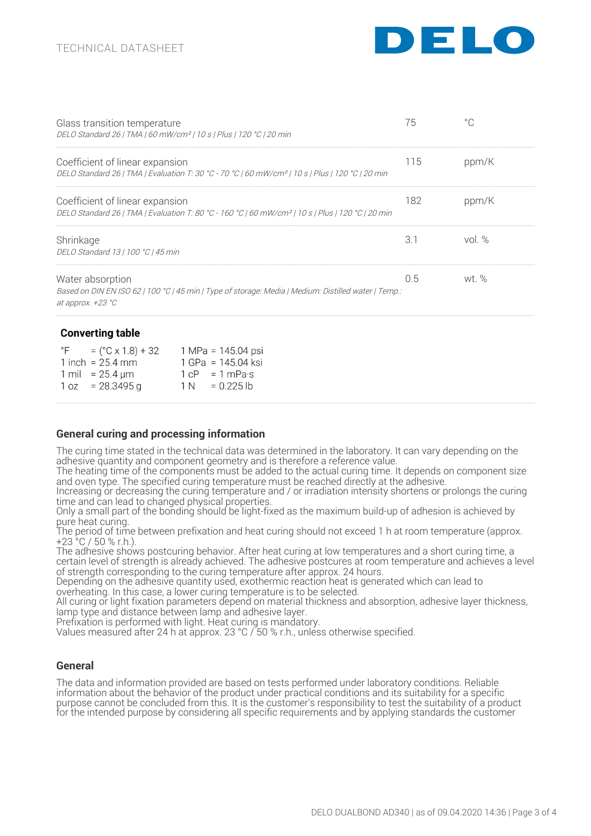

| Glass transition temperature                                 | DELO Standard 26   TMA   60 mW/cm <sup>2</sup>   10 s   Plus   120 °C   20 min                                |     |          |  |
|--------------------------------------------------------------|---------------------------------------------------------------------------------------------------------------|-----|----------|--|
| Coefficient of linear expansion                              | DELO Standard 26   TMA   Evaluation T: 30 °C - 70 °C   60 mW/cm <sup>2</sup>   10 s   Plus   120 °C   20 min  | 115 | ppm/K    |  |
| Coefficient of linear expansion                              | DELO Standard 26   TMA   Evaluation T: 80 °C - 160 °C   60 mW/cm <sup>2</sup>   10 s   Plus   120 °C   20 min | 182 | ppm/K    |  |
| Shrinkage<br>DELO Standard 13   100 °C   45 min              |                                                                                                               | 3.1 | vol $\%$ |  |
| Water absorption<br>at approx. $+23 \text{ }^{\circ}C$       | Based on DIN EN ISO 62   100 °C   45 min   Type of storage: Media   Medium: Distilled water   Temp.:          | 0.5 | wt. %    |  |
| <b>Converting table</b>                                      |                                                                                                               |     |          |  |
| $=$ (°C x 1.8) + 32 1 MPa = 145.04 psi<br>1 inch = $25.4$ mm | 1 GPa = 145.04 ksi                                                                                            |     |          |  |

| 1 inch = $25.4$ mm   | 1 GPa = $145.04$ ks              |
|----------------------|----------------------------------|
| 1 mil = 25.4 $\mu$ m | $1 \text{ cP} = 1 \text{ mPa·s}$ |
| $1 oz = 28.3495 g$   | $1 N = 0.225 lb$                 |

## **General curing and processing information**

The curing time stated in the technical data was determined in the laboratory. It can vary depending on the adhesive quantity and component geometry and is therefore a reference value.

The heating time of the components must be added to the actual curing time. It depends on component size and oven type. The specified curing temperature must be reached directly at the adhesive.

Increasing or decreasing the curing temperature and / or irradiation intensity shortens or prolongs the curing time and can lead to changed physical properties.

time and can lead to changed physical properties.<br>Only a small part of the bonding should be light-fixed as the maximum build-up of adhesion is achieved by pure heat curing.

The period of time between prefixation and heat curing should not exceed 1 h at room temperature (approx. +23 °C / 50 % r.h.).

The adhesive shows postcuring behavior. After heat curing at low temperatures and a short curing time, a certain level of strength is already achieved. The adhesive postcures at room temperature and achieves a level of strength corresponding to the curing temperature after approx. 24 hours.

Depending on the adhesive quantity used, exothermic reaction heat is generated which can lead to overheating. In this case, a lower curing temperature is to be selected.

All curing or light fixation parameters depend on material thickness and absorption, adhesive layer thickness, lamp type and distance between lamp and adhesive layer.

Prefixation is performed with light. Heat curing is mandatory. Values measured after 24 h at approx. 23 °C / 50 % r.h., unless otherwise specified.

#### **General**

The data and information provided are based on tests performed under laboratory conditions. Reliable information about the behavior of the product under practical conditions and its suitability for a specific purpose cannot be concluded from this. It is the customer's responsibility to test the suitability of a product for the intended purpose by considering all specific requirements and by applying standards the customer